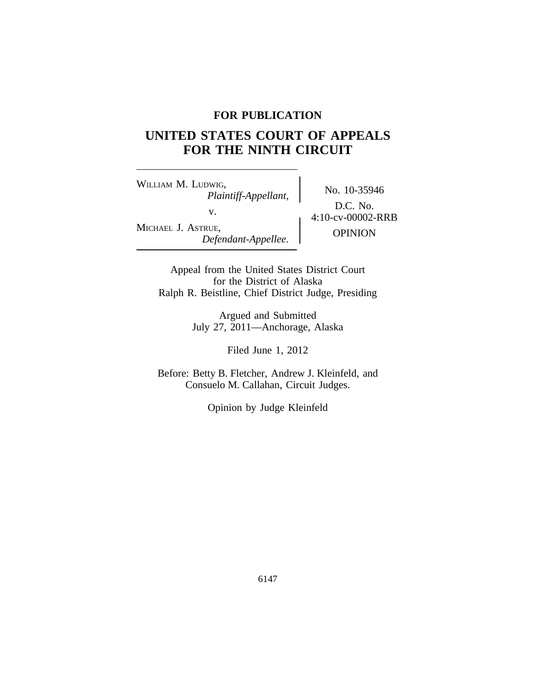## **FOR PUBLICATION**

# **UNITED STATES COURT OF APPEALS FOR THE NINTH CIRCUIT**

<sup>W</sup>ILLIAM M. LUDWIG, No. 10-35946 *Plaintiff-Appellant,* v.  $4:10$ -cv-00002-RRB MICHAEL J. ASTRUE, OPINION *Defendant-Appellee.*

D.C. No.

Appeal from the United States District Court for the District of Alaska Ralph R. Beistline, Chief District Judge, Presiding

> Argued and Submitted July 27, 2011—Anchorage, Alaska

> > Filed June 1, 2012

Before: Betty B. Fletcher, Andrew J. Kleinfeld, and Consuelo M. Callahan, Circuit Judges.

Opinion by Judge Kleinfeld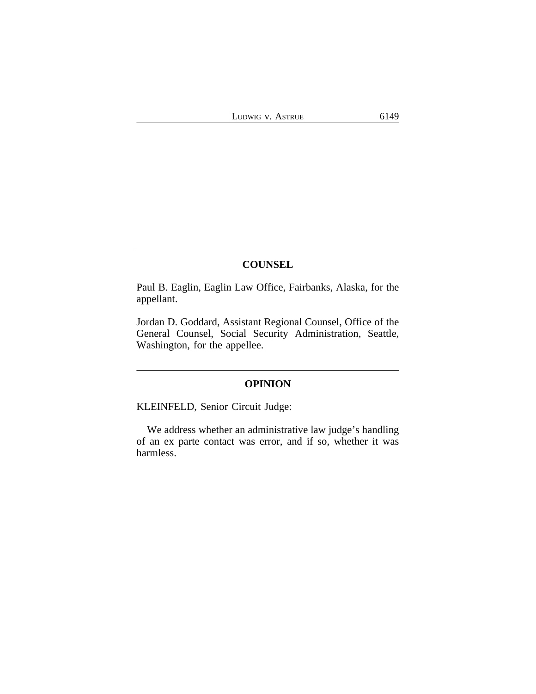## **COUNSEL**

Paul B. Eaglin, Eaglin Law Office, Fairbanks, Alaska, for the appellant.

Jordan D. Goddard, Assistant Regional Counsel, Office of the General Counsel, Social Security Administration, Seattle, Washington, for the appellee.

# **OPINION**

KLEINFELD, Senior Circuit Judge:

We address whether an administrative law judge's handling of an ex parte contact was error, and if so, whether it was harmless.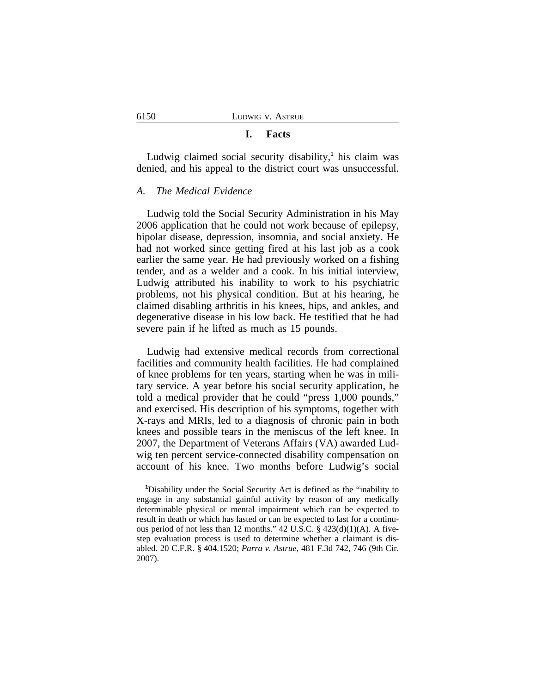## **I. Facts**

Ludwig claimed social security disability,**<sup>1</sup>** his claim was denied, and his appeal to the district court was unsuccessful.

#### *A. The Medical Evidence*

Ludwig told the Social Security Administration in his May 2006 application that he could not work because of epilepsy, bipolar disease, depression, insomnia, and social anxiety. He had not worked since getting fired at his last job as a cook earlier the same year. He had previously worked on a fishing tender, and as a welder and a cook. In his initial interview, Ludwig attributed his inability to work to his psychiatric problems, not his physical condition. But at his hearing, he claimed disabling arthritis in his knees, hips, and ankles, and degenerative disease in his low back. He testified that he had severe pain if he lifted as much as 15 pounds.

Ludwig had extensive medical records from correctional facilities and community health facilities. He had complained of knee problems for ten years, starting when he was in military service. A year before his social security application, he told a medical provider that he could "press 1,000 pounds," and exercised. His description of his symptoms, together with X-rays and MRIs, led to a diagnosis of chronic pain in both knees and possible tears in the meniscus of the left knee. In 2007, the Department of Veterans Affairs (VA) awarded Ludwig ten percent service-connected disability compensation on account of his knee. Two months before Ludwig's social

**<sup>1</sup>**Disability under the Social Security Act is defined as the "inability to engage in any substantial gainful activity by reason of any medically determinable physical or mental impairment which can be expected to result in death or which has lasted or can be expected to last for a continuous period of not less than 12 months." 42 U.S.C. § 423(d)(1)(A). A fivestep evaluation process is used to determine whether a claimant is disabled. 20 C.F.R. § 404.1520; *Parra v. Astrue*, 481 F.3d 742, 746 (9th Cir. 2007).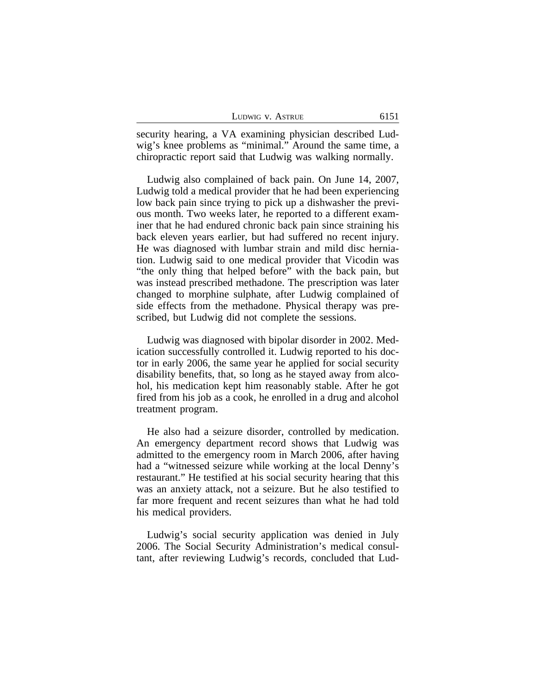| LUDWIG V. ASTRUE | 6151 |
|------------------|------|
|------------------|------|

security hearing, a VA examining physician described Ludwig's knee problems as "minimal." Around the same time, a chiropractic report said that Ludwig was walking normally.

Ludwig also complained of back pain. On June 14, 2007, Ludwig told a medical provider that he had been experiencing low back pain since trying to pick up a dishwasher the previous month. Two weeks later, he reported to a different examiner that he had endured chronic back pain since straining his back eleven years earlier, but had suffered no recent injury. He was diagnosed with lumbar strain and mild disc herniation. Ludwig said to one medical provider that Vicodin was "the only thing that helped before" with the back pain, but was instead prescribed methadone. The prescription was later changed to morphine sulphate, after Ludwig complained of side effects from the methadone. Physical therapy was prescribed, but Ludwig did not complete the sessions.

Ludwig was diagnosed with bipolar disorder in 2002. Medication successfully controlled it. Ludwig reported to his doctor in early 2006, the same year he applied for social security disability benefits, that, so long as he stayed away from alcohol, his medication kept him reasonably stable. After he got fired from his job as a cook, he enrolled in a drug and alcohol treatment program.

He also had a seizure disorder, controlled by medication. An emergency department record shows that Ludwig was admitted to the emergency room in March 2006, after having had a "witnessed seizure while working at the local Denny's restaurant." He testified at his social security hearing that this was an anxiety attack, not a seizure. But he also testified to far more frequent and recent seizures than what he had told his medical providers.

Ludwig's social security application was denied in July 2006. The Social Security Administration's medical consultant, after reviewing Ludwig's records, concluded that Lud-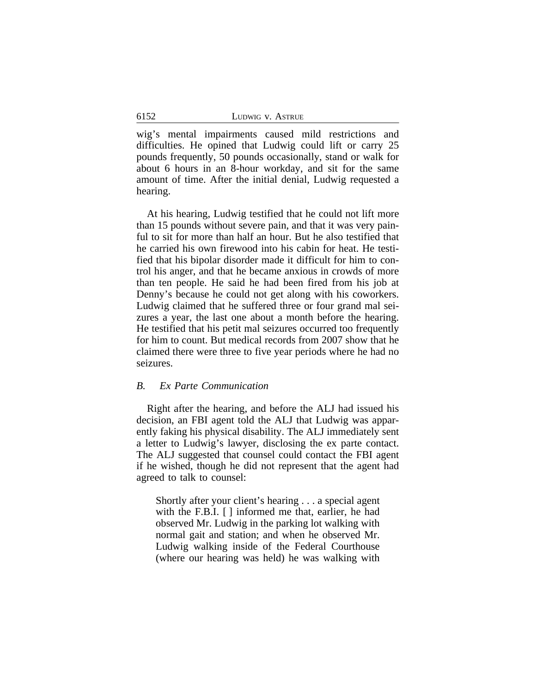| LUDWIG V. ASTRUE |
|------------------|
|                  |

wig's mental impairments caused mild restrictions and difficulties. He opined that Ludwig could lift or carry 25 pounds frequently, 50 pounds occasionally, stand or walk for about 6 hours in an 8-hour workday, and sit for the same amount of time. After the initial denial, Ludwig requested a hearing.

At his hearing, Ludwig testified that he could not lift more than 15 pounds without severe pain, and that it was very painful to sit for more than half an hour. But he also testified that he carried his own firewood into his cabin for heat. He testified that his bipolar disorder made it difficult for him to control his anger, and that he became anxious in crowds of more than ten people. He said he had been fired from his job at Denny's because he could not get along with his coworkers. Ludwig claimed that he suffered three or four grand mal seizures a year, the last one about a month before the hearing. He testified that his petit mal seizures occurred too frequently for him to count. But medical records from 2007 show that he claimed there were three to five year periods where he had no seizures.

## *B. Ex Parte Communication*

Right after the hearing, and before the ALJ had issued his decision, an FBI agent told the ALJ that Ludwig was apparently faking his physical disability. The ALJ immediately sent a letter to Ludwig's lawyer, disclosing the ex parte contact. The ALJ suggested that counsel could contact the FBI agent if he wished, though he did not represent that the agent had agreed to talk to counsel:

Shortly after your client's hearing . . . a special agent with the F.B.I. [ ] informed me that, earlier, he had observed Mr. Ludwig in the parking lot walking with normal gait and station; and when he observed Mr. Ludwig walking inside of the Federal Courthouse (where our hearing was held) he was walking with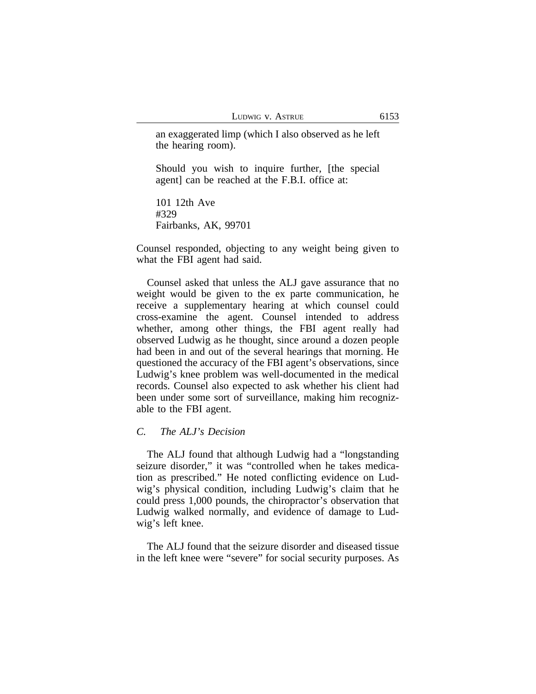an exaggerated limp (which I also observed as he left the hearing room).

Should you wish to inquire further, [the special agent] can be reached at the F.B.I. office at:

101 12th Ave #329 Fairbanks, AK, 99701

Counsel responded, objecting to any weight being given to what the FBI agent had said.

Counsel asked that unless the ALJ gave assurance that no weight would be given to the ex parte communication, he receive a supplementary hearing at which counsel could cross-examine the agent. Counsel intended to address whether, among other things, the FBI agent really had observed Ludwig as he thought, since around a dozen people had been in and out of the several hearings that morning. He questioned the accuracy of the FBI agent's observations, since Ludwig's knee problem was well-documented in the medical records. Counsel also expected to ask whether his client had been under some sort of surveillance, making him recognizable to the FBI agent.

## *C. The ALJ's Decision*

The ALJ found that although Ludwig had a "longstanding seizure disorder," it was "controlled when he takes medication as prescribed." He noted conflicting evidence on Ludwig's physical condition, including Ludwig's claim that he could press 1,000 pounds, the chiropractor's observation that Ludwig walked normally, and evidence of damage to Ludwig's left knee.

The ALJ found that the seizure disorder and diseased tissue in the left knee were "severe" for social security purposes. As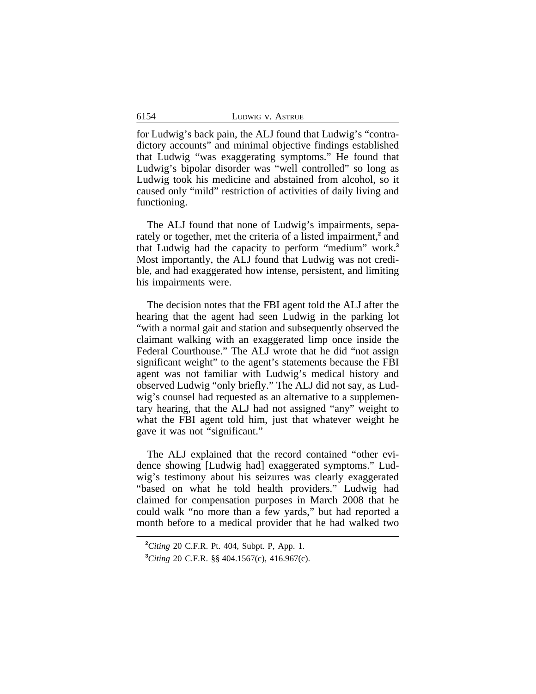for Ludwig's back pain, the ALJ found that Ludwig's "contradictory accounts" and minimal objective findings established that Ludwig "was exaggerating symptoms." He found that Ludwig's bipolar disorder was "well controlled" so long as Ludwig took his medicine and abstained from alcohol, so it caused only "mild" restriction of activities of daily living and functioning.

The ALJ found that none of Ludwig's impairments, separately or together, met the criteria of a listed impairment,<sup>2</sup> and that Ludwig had the capacity to perform "medium" work.**<sup>3</sup>** Most importantly, the ALJ found that Ludwig was not credible, and had exaggerated how intense, persistent, and limiting his impairments were.

The decision notes that the FBI agent told the ALJ after the hearing that the agent had seen Ludwig in the parking lot "with a normal gait and station and subsequently observed the claimant walking with an exaggerated limp once inside the Federal Courthouse." The ALJ wrote that he did "not assign significant weight" to the agent's statements because the FBI agent was not familiar with Ludwig's medical history and observed Ludwig "only briefly." The ALJ did not say, as Ludwig's counsel had requested as an alternative to a supplementary hearing, that the ALJ had not assigned "any" weight to what the FBI agent told him, just that whatever weight he gave it was not "significant."

The ALJ explained that the record contained "other evidence showing [Ludwig had] exaggerated symptoms." Ludwig's testimony about his seizures was clearly exaggerated "based on what he told health providers." Ludwig had claimed for compensation purposes in March 2008 that he could walk "no more than a few yards," but had reported a month before to a medical provider that he had walked two

**<sup>2</sup>***Citing* 20 C.F.R. Pt. 404, Subpt. P, App. 1.

**<sup>3</sup>***Citing* 20 C.F.R. §§ 404.1567(c), 416.967(c).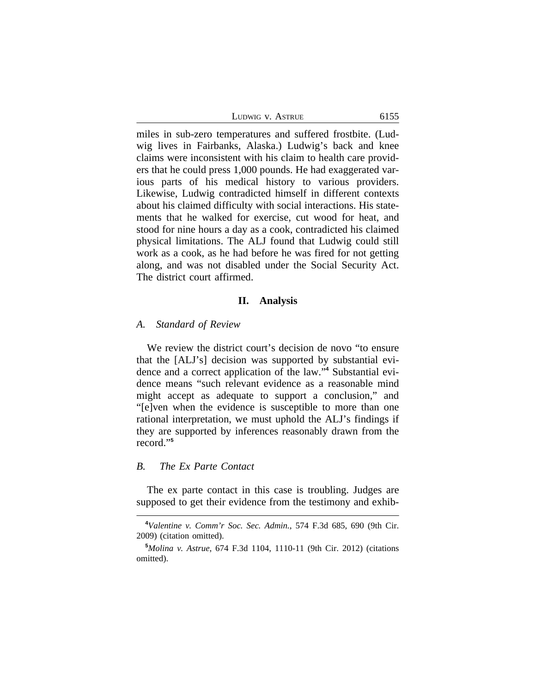| LUDWIG V. ASTRUE | 6155 |
|------------------|------|
|------------------|------|

miles in sub-zero temperatures and suffered frostbite. (Ludwig lives in Fairbanks, Alaska.) Ludwig's back and knee claims were inconsistent with his claim to health care providers that he could press 1,000 pounds. He had exaggerated various parts of his medical history to various providers. Likewise, Ludwig contradicted himself in different contexts about his claimed difficulty with social interactions. His statements that he walked for exercise, cut wood for heat, and stood for nine hours a day as a cook, contradicted his claimed physical limitations. The ALJ found that Ludwig could still work as a cook, as he had before he was fired for not getting along, and was not disabled under the Social Security Act. The district court affirmed.

## **II. Analysis**

### *A. Standard of Review*

We review the district court's decision de novo "to ensure that the [ALJ's] decision was supported by substantial evidence and a correct application of the law." **4** Substantial evidence means "such relevant evidence as a reasonable mind might accept as adequate to support a conclusion," and "[e]ven when the evidence is susceptible to more than one rational interpretation, we must uphold the ALJ's findings if they are supported by inferences reasonably drawn from the record." **5**

## *B. The Ex Parte Contact*

The ex parte contact in this case is troubling. Judges are supposed to get their evidence from the testimony and exhib-

**<sup>4</sup>***Valentine v. Comm'r Soc. Sec. Admin.*, 574 F.3d 685, 690 (9th Cir. 2009) (citation omitted).

**<sup>5</sup>***Molina v. Astrue*, 674 F.3d 1104, 1110-11 (9th Cir. 2012) (citations omitted).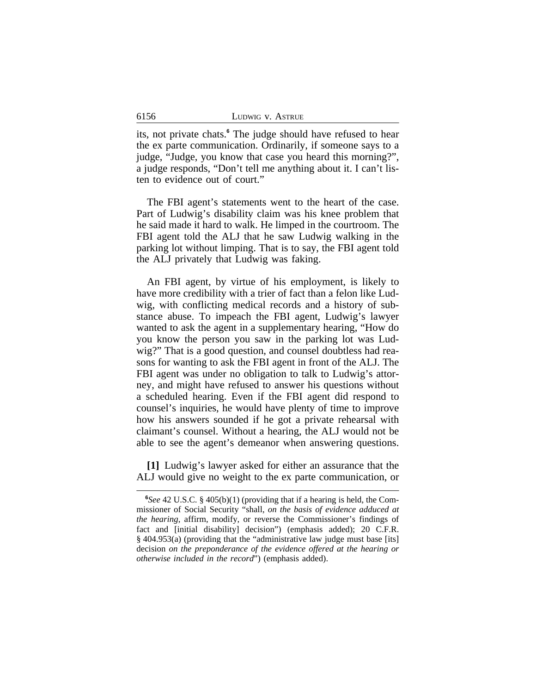6156

its, not private chats.**<sup>6</sup>** The judge should have refused to hear the ex parte communication. Ordinarily, if someone says to a judge, "Judge, you know that case you heard this morning?", a judge responds, "Don't tell me anything about it. I can't listen to evidence out of court."

The FBI agent's statements went to the heart of the case. Part of Ludwig's disability claim was his knee problem that he said made it hard to walk. He limped in the courtroom. The FBI agent told the ALJ that he saw Ludwig walking in the parking lot without limping. That is to say, the FBI agent told the ALJ privately that Ludwig was faking.

An FBI agent, by virtue of his employment, is likely to have more credibility with a trier of fact than a felon like Ludwig, with conflicting medical records and a history of substance abuse. To impeach the FBI agent, Ludwig's lawyer wanted to ask the agent in a supplementary hearing, "How do you know the person you saw in the parking lot was Ludwig?" That is a good question, and counsel doubtless had reasons for wanting to ask the FBI agent in front of the ALJ. The FBI agent was under no obligation to talk to Ludwig's attorney, and might have refused to answer his questions without a scheduled hearing. Even if the FBI agent did respond to counsel's inquiries, he would have plenty of time to improve how his answers sounded if he got a private rehearsal with claimant's counsel. Without a hearing, the ALJ would not be able to see the agent's demeanor when answering questions.

**[1]** Ludwig's lawyer asked for either an assurance that the ALJ would give no weight to the ex parte communication, or

**<sup>6</sup>** *See* 42 U.S.C. § 405(b)(1) (providing that if a hearing is held, the Commissioner of Social Security "shall, *on the basis of evidence adduced at the hearing*, affirm, modify, or reverse the Commissioner's findings of fact and [initial disability] decision") (emphasis added); 20 C.F.R. § 404.953(a) (providing that the "administrative law judge must base [its] decision *on the preponderance of the evidence offered at the hearing or otherwise included in the record*") (emphasis added).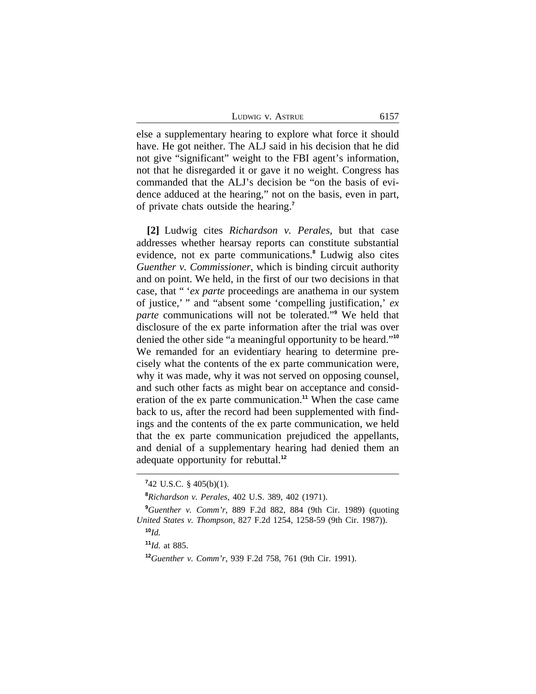| Ludwig v. Astrue | 6157 |
|------------------|------|
|                  |      |

else a supplementary hearing to explore what force it should have. He got neither. The ALJ said in his decision that he did not give "significant" weight to the FBI agent's information, not that he disregarded it or gave it no weight. Congress has commanded that the ALJ's decision be "on the basis of evidence adduced at the hearing," not on the basis, even in part, of private chats outside the hearing.**<sup>7</sup>**

**[2]** Ludwig cites *Richardson v. Perales*, but that case addresses whether hearsay reports can constitute substantial evidence, not ex parte communications.**<sup>8</sup>** Ludwig also cites *Guenther v. Commissioner*, which is binding circuit authority and on point. We held, in the first of our two decisions in that case, that " '*ex parte* proceedings are anathema in our system of justice,' " and "absent some 'compelling justification,' *ex parte* communications will not be tolerated." **9** We held that disclosure of the ex parte information after the trial was over denied the other side "a meaningful opportunity to be heard." **10** We remanded for an evidentiary hearing to determine precisely what the contents of the ex parte communication were, why it was made, why it was not served on opposing counsel, and such other facts as might bear on acceptance and consideration of the ex parte communication.**<sup>11</sup>** When the case came back to us, after the record had been supplemented with findings and the contents of the ex parte communication, we held that the ex parte communication prejudiced the appellants, and denial of a supplementary hearing had denied them an adequate opportunity for rebuttal.**<sup>12</sup>**

**<sup>7</sup>** 42 U.S.C. § 405(b)(1).

**<sup>8</sup>***Richardson v. Perales*, 402 U.S. 389, 402 (1971).

**<sup>9</sup>***Guenther v. Comm'r*, 889 F.2d 882, 884 (9th Cir. 1989) (quoting *United States v. Thompson*, 827 F.2d 1254, 1258-59 (9th Cir. 1987)). **<sup>10</sup>***Id.*

**<sup>11</sup>***Id.* at 885.

**<sup>12</sup>***Guenther v. Comm'r*, 939 F.2d 758, 761 (9th Cir. 1991).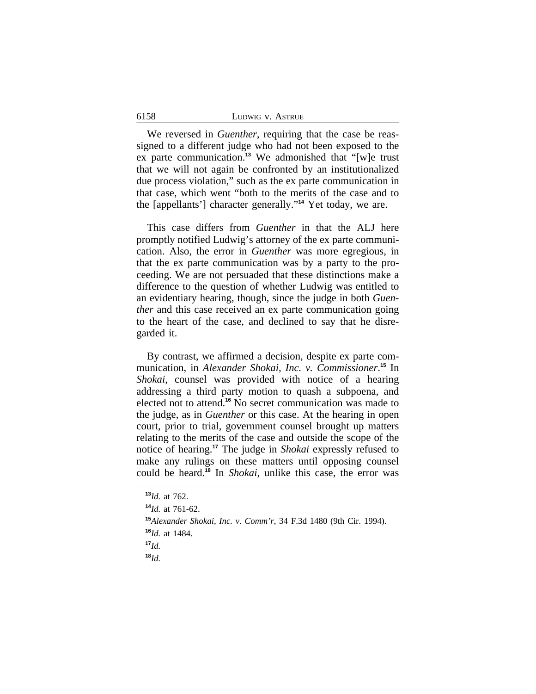We reversed in *Guenther*, requiring that the case be reassigned to a different judge who had not been exposed to the ex parte communication.**<sup>13</sup>** We admonished that "[w]e trust that we will not again be confronted by an institutionalized due process violation," such as the ex parte communication in that case, which went "both to the merits of the case and to the [appellants'] character generally." **<sup>14</sup>** Yet today, we are.

This case differs from *Guenther* in that the ALJ here promptly notified Ludwig's attorney of the ex parte communication. Also, the error in *Guenther* was more egregious, in that the ex parte communication was by a party to the proceeding. We are not persuaded that these distinctions make a difference to the question of whether Ludwig was entitled to an evidentiary hearing, though, since the judge in both *Guenther* and this case received an ex parte communication going to the heart of the case, and declined to say that he disregarded it.

By contrast, we affirmed a decision, despite ex parte communication, in *Alexander Shokai, Inc. v. Commissioner*. **<sup>15</sup>** In *Shokai*, counsel was provided with notice of a hearing addressing a third party motion to quash a subpoena, and elected not to attend.**<sup>16</sup>** No secret communication was made to the judge, as in *Guenther* or this case. At the hearing in open court, prior to trial, government counsel brought up matters relating to the merits of the case and outside the scope of the notice of hearing.**<sup>17</sup>** The judge in *Shokai* expressly refused to make any rulings on these matters until opposing counsel could be heard.**<sup>18</sup>** In *Shokai*, unlike this case, the error was

6158

**<sup>18</sup>***Id.*

**<sup>13</sup>***Id.* at 762.

**<sup>14</sup>***Id.* at 761-62.

**<sup>15</sup>***Alexander Shokai, Inc. v. Comm'r*, 34 F.3d 1480 (9th Cir. 1994). **<sup>16</sup>***Id.* at 1484.

**<sup>17</sup>***Id.*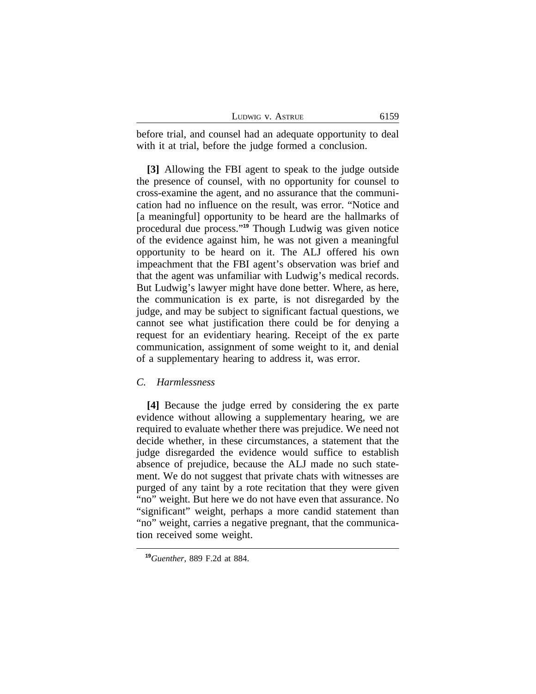| LUDWIG V. ASTRUE |  |  |
|------------------|--|--|
|------------------|--|--|

before trial, and counsel had an adequate opportunity to deal with it at trial, before the judge formed a conclusion.

**[3]** Allowing the FBI agent to speak to the judge outside the presence of counsel, with no opportunity for counsel to cross-examine the agent, and no assurance that the communication had no influence on the result, was error. "Notice and [a meaningful] opportunity to be heard are the hallmarks of procedural due process." **<sup>19</sup>** Though Ludwig was given notice of the evidence against him, he was not given a meaningful opportunity to be heard on it. The ALJ offered his own impeachment that the FBI agent's observation was brief and that the agent was unfamiliar with Ludwig's medical records. But Ludwig's lawyer might have done better. Where, as here, the communication is ex parte, is not disregarded by the judge, and may be subject to significant factual questions, we cannot see what justification there could be for denying a request for an evidentiary hearing. Receipt of the ex parte communication, assignment of some weight to it, and denial of a supplementary hearing to address it, was error.

#### *C. Harmlessness*

**[4]** Because the judge erred by considering the ex parte evidence without allowing a supplementary hearing, we are required to evaluate whether there was prejudice. We need not decide whether, in these circumstances, a statement that the judge disregarded the evidence would suffice to establish absence of prejudice, because the ALJ made no such statement. We do not suggest that private chats with witnesses are purged of any taint by a rote recitation that they were given "no" weight. But here we do not have even that assurance. No "significant" weight, perhaps a more candid statement than "no" weight, carries a negative pregnant, that the communication received some weight.

**<sup>19</sup>***Guenther*, 889 F.2d at 884.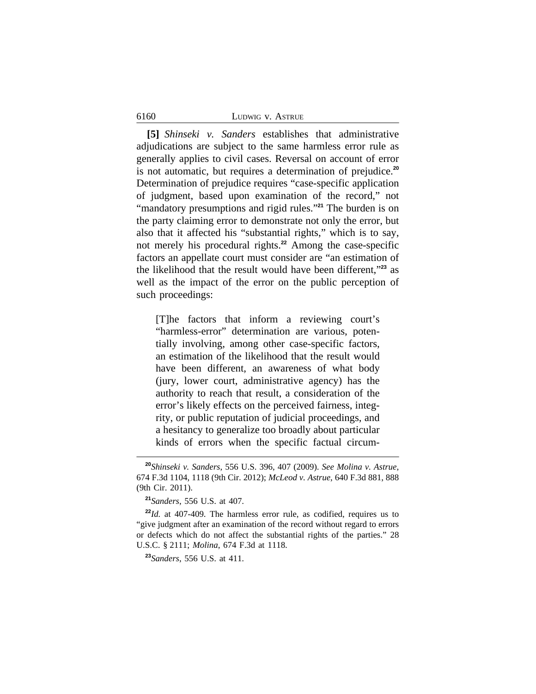#### 6160 LUDWIG v. ASTRUE

**[5]** *Shinseki v. Sanders* establishes that administrative adjudications are subject to the same harmless error rule as generally applies to civil cases. Reversal on account of error is not automatic, but requires a determination of prejudice.**<sup>20</sup>** Determination of prejudice requires "case-specific application of judgment, based upon examination of the record," not "mandatory presumptions and rigid rules." **<sup>21</sup>** The burden is on the party claiming error to demonstrate not only the error, but also that it affected his "substantial rights," which is to say, not merely his procedural rights.**<sup>22</sup>** Among the case-specific factors an appellate court must consider are "an estimation of the likelihood that the result would have been different," **<sup>23</sup>** as well as the impact of the error on the public perception of such proceedings:

[T]he factors that inform a reviewing court's "harmless-error" determination are various, potentially involving, among other case-specific factors, an estimation of the likelihood that the result would have been different, an awareness of what body (jury, lower court, administrative agency) has the authority to reach that result, a consideration of the error's likely effects on the perceived fairness, integrity, or public reputation of judicial proceedings, and a hesitancy to generalize too broadly about particular kinds of errors when the specific factual circum-

**<sup>23</sup>***Sanders*, 556 U.S. at 411.

**<sup>20</sup>***Shinseki v. Sanders*, 556 U.S. 396, 407 (2009). *See Molina v. Astrue*, 674 F.3d 1104, 1118 (9th Cir. 2012); *McLeod v. Astrue*, 640 F.3d 881, 888 (9th Cir. 2011).

**<sup>21</sup>***Sanders*, 556 U.S. at 407.

**<sup>22</sup>***Id.* at 407-409. The harmless error rule, as codified, requires us to "give judgment after an examination of the record without regard to errors or defects which do not affect the substantial rights of the parties." 28 U.S.C. § 2111; *Molina*, 674 F.3d at 1118.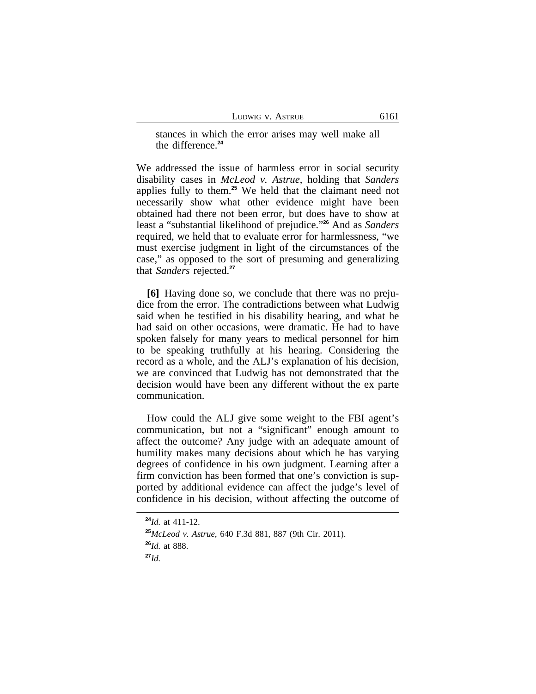stances in which the error arises may well make all the difference.**<sup>24</sup>**

We addressed the issue of harmless error in social security disability cases in *McLeod v. Astrue*, holding that *Sanders* applies fully to them.**<sup>25</sup>** We held that the claimant need not necessarily show what other evidence might have been obtained had there not been error, but does have to show at least a "substantial likelihood of prejudice." **<sup>26</sup>** And as *Sanders* required, we held that to evaluate error for harmlessness, "we must exercise judgment in light of the circumstances of the case," as opposed to the sort of presuming and generalizing that *Sanders* rejected.**<sup>27</sup>**

**[6]** Having done so, we conclude that there was no prejudice from the error. The contradictions between what Ludwig said when he testified in his disability hearing, and what he had said on other occasions, were dramatic. He had to have spoken falsely for many years to medical personnel for him to be speaking truthfully at his hearing. Considering the record as a whole, and the ALJ's explanation of his decision, we are convinced that Ludwig has not demonstrated that the decision would have been any different without the ex parte communication.

How could the ALJ give some weight to the FBI agent's communication, but not a "significant" enough amount to affect the outcome? Any judge with an adequate amount of humility makes many decisions about which he has varying degrees of confidence in his own judgment. Learning after a firm conviction has been formed that one's conviction is supported by additional evidence can affect the judge's level of confidence in his decision, without affecting the outcome of

**<sup>24</sup>***Id.* at 411-12.

**<sup>25</sup>***McLeod v. Astrue*, 640 F.3d 881, 887 (9th Cir. 2011). **<sup>26</sup>***Id.* at 888. **<sup>27</sup>***Id.*